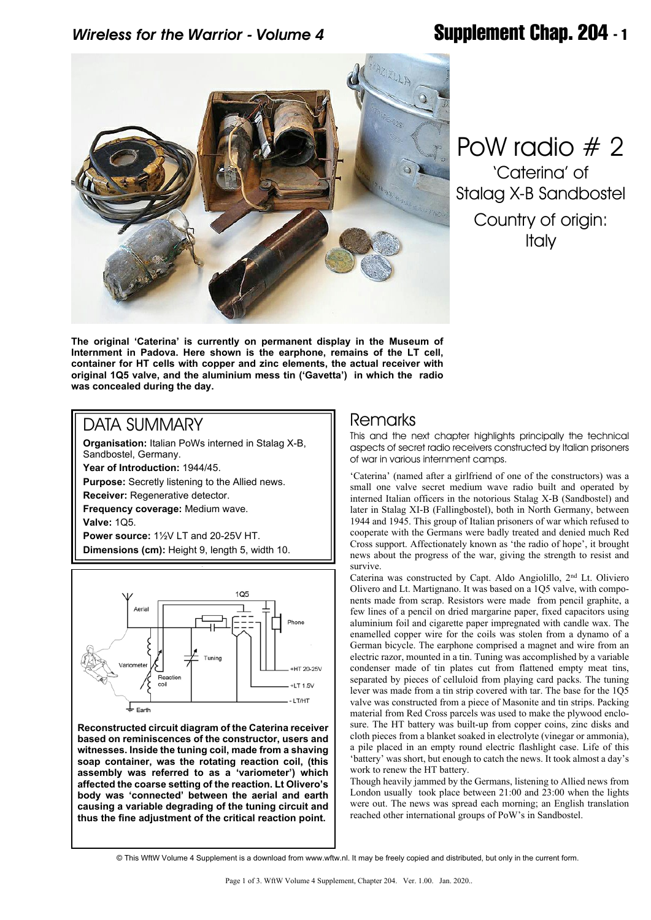# *Wireless for the Warrior - Volume 4* **Supplement Chap. 204 - 1**



PoW radio # 2 'Caterina' of Stalag X-B Sandbostel Country of origin: **Italy** 

**The original 'Caterina' is currently on permanent display in the Museum of Internment in Padova. Here shown is the earphone, remains of the LT cell, container for HT cells with copper and zinc elements, the actual receiver with original 1Q5 valve, and the aluminium mess tin ('Gavetta') in which the radio was concealed during the day.**

## DATA SUMMARY

**Organisation:** Italian PoWs interned in Stalag X-B, Sandbostel, Germany.

**Year of Introduction:** 1944/45.

**Purpose:** Secretly listening to the Allied news.

**Receiver:** Regenerative detector.

**Frequency coverage:** Medium wave.

**Valve:** 1Q5.

**Power source:** 1½V LT and 20-25V HT. **Dimensions (cm):** Height 9, length 5, width 10.



**Reconstructed circuit diagram of the Caterina receiver based on reminiscences of the constructor, users and witnesses. Inside the tuning coil, made from a shaving soap container, was the rotating reaction coil, (this assembly was referred to as a 'variometer') which affected the coarse setting of the reaction. Lt Olivero's body was 'connected' between the aerial and earth causing a variable degrading of the tuning circuit and thus the fine adjustment of the critical reaction point.**

### Remarks

This and the next chapter highlights principally the technical aspects of secret radio receivers constructed by Italian prisoners of war in various internment camps.

'Caterina' (named after a girlfriend of one of the constructors) was a small one valve secret medium wave radio built and operated by interned Italian officers in the notorious Stalag X-B (Sandbostel) and later in Stalag XI-B (Fallingbostel), both in North Germany, between 1944 and 1945. This group of Italian prisoners of war which refused to cooperate with the Germans were badly treated and denied much Red Cross support. Affectionately known as 'the radio of hope', it brought news about the progress of the war, giving the strength to resist and survive.

Caterina was constructed by Capt. Aldo Angiolillo, 2nd Lt. Oliviero Olivero and Lt. Martignano. It was based on a 1Q5 valve, with components made from scrap. Resistors were made from pencil graphite, a few lines of a pencil on dried margarine paper, fixed capacitors using aluminium foil and cigarette paper impregnated with candle wax. The enamelled copper wire for the coils was stolen from a dynamo of a German bicycle. The earphone comprised a magnet and wire from an electric razor, mounted in a tin. Tuning was accomplished by a variable condenser made of tin plates cut from flattened empty meat tins, separated by pieces of celluloid from playing card packs. The tuning lever was made from a tin strip covered with tar. The base for the 1Q5 valve was constructed from a piece of Masonite and tin strips. Packing material from Red Cross parcels was used to make the plywood enclosure. The HT battery was built-up from copper coins, zinc disks and cloth pieces from a blanket soaked in electrolyte (vinegar or ammonia), a pile placed in an empty round electric flashlight case. Life of this 'battery' was short, but enough to catch the news. It took almost a day's work to renew the HT battery.

Though heavily jammed by the Germans, listening to Allied news from London usually took place between 21:00 and 23:00 when the lights were out. The news was spread each morning; an English translation reached other international groups of PoW's in Sandbostel.

<sup>©</sup> This WftW Volume 4 Supplement is a download from www.wftw.nl. It may be freely copied and distributed, but only in the current form.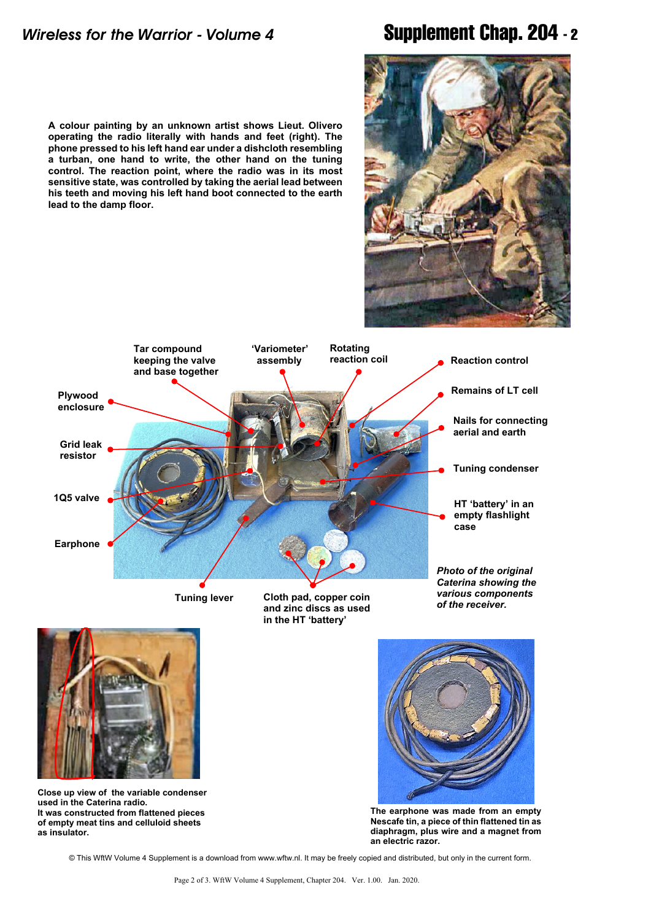**lead to the damp floor.**

**A colour painting by an unknown artist shows Lieut. Olivero operating the radio literally with hands and feet (right). The phone pressed to his left hand ear under a dishcloth resembling a turban, one hand to write, the other hand on the tuning control. The reaction point, where the radio was in its most sensitive state, was controlled by taking the aerial lead between his teeth and moving his left hand boot connected to the earth**

# *Wireless for the Warrior - Volume 4* **Supplement Chap. 204 - 2**





**Close up view of the variable condenser used in the Caterina radio. It was constructed from flattened pieces of empty meat tins and celluloid sheets as insulator.**

**The earphone was made from an empty Nescafe tin, a piece of thin flattened tin as diaphragm, plus wire and a magnet from an electric razor.**

© This WftW Volume 4 Supplement is a download from www.wftw.nl. It may be freely copied and distributed, but only in the current form.